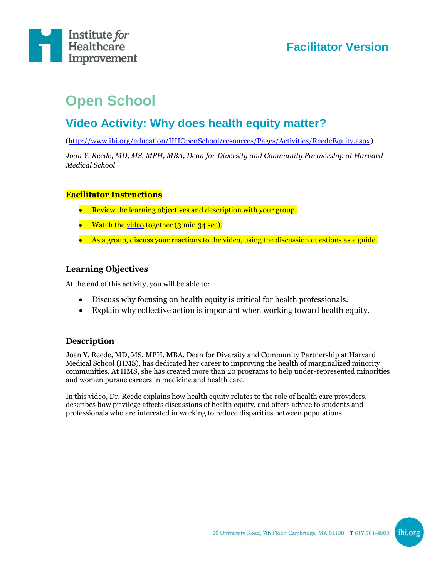

# **Facilitator Version**

# **Open School**

## **Video Activity: Why does health equity matter?**

[\(http://www.ihi.org/education/IHIOpenSchool/resources/Pages/Activities/ReedeEquity.aspx\)](http://www.ihi.org/education/IHIOpenSchool/resources/Pages/Activities/ReedeEquity.aspx)

*Joan Y. Reede, MD, MS, MPH, MBA, Dean for Diversity and Community Partnership at Harvard Medical School*

#### **Facilitator Instructions**

- Review the learning objectives and description with your group.
- Watch the [video](http://www.ihi.org/education/IHIOpenSchool/resources/Pages/Activities/ReedeEquity.aspx) together (3 min 34 sec).
- As a group, discuss your reactions to the video, using the discussion questions as a guide.

#### **Learning Objectives**

At the end of this activity, you will be able to:

- Discuss why focusing on health equity is critical for health professionals.
- Explain why collective action is important when working toward health equity.

#### **Description**

Joan Y. Reede, MD, MS, MPH, MBA, Dean for Diversity and Community Partnership at Harvard Medical School (HMS), has dedicated her career to improving the health of marginalized minority communities. At HMS, she has created more than 20 programs to help under-represented minorities and women pursue careers in medicine and health care.

In this video, Dr. Reede explains how health equity relates to the role of health care providers, describes how privilege affects discussions of health equity, and offers advice to students and professionals who are interested in working to reduce disparities between populations.